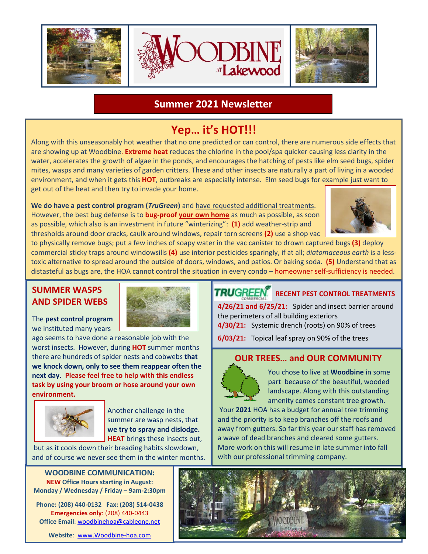

## **Summer 2021 Newsletter**

# **Yep… it's HOT!!!**

Along with this unseasonably hot weather that no one predicted or can control, there are numerous side effects that are showing up at Woodbine. **Extreme heat** reduces the chlorine in the pool/spa quicker causing less clarity in the water, accelerates the growth of algae in the ponds, and encourages the hatching of pests like elm seed bugs, spider mites, wasps and many varieties of garden critters. These and other insects are naturally a part of living in a wooded environment, and when it gets this **HOT**, outbreaks are especially intense. Elm seed bugs for example just want to get out of the heat and then try to invade your home.

**We do have a pest control program (***TruGreen***)** and have requested additional treatments. However, the best bug defense is to **bug-proof your own home** as much as possible, as soon as possible, which also is an investment in future "winterizing": **(1)** add weather-strip and thresholds around door cracks, caulk around windows, repair torn screens **(2)** use a shop vac



to physically remove bugs; put a few inches of soapy water in the vac canister to drown captured bugs **(3)** deploy commercial sticky traps around windowsills **(4)** use interior pesticides sparingly, if at all; *diatomaceous earth* is a lesstoxic alternative to spread around the outside of doors, windows, and patios. Or baking soda. **(5)** Understand that as distasteful as bugs are, the HOA cannot control the situation in every condo – homeowner self-sufficiency is needed.

#### **SUMMER WASPS AND SPIDER WEBS**

The **pest control program** we instituted many years

ago seems to have done a reasonable job with the worst insects. However, during **HOT** summer months there are hundreds of spider nests and cobwebs **that we knock down, only to see them reappear often the next day. Please feel free to help with this endless task by using your broom or hose around your own environment.**



Another challenge in the summer are wasp nests, that **we try to spray and dislodge. HEAT** brings these insects out,

but as it cools down their breading habits slowdown, and of course we never see them in the winter months.

**WOODBINE COMMUNICATION: NEW Office Hours starting in August: Monday / Wednesday / Friday – 9am-2:30pm**

**Phone: (208) 440-0132 Fax: (208) 514-0438 Emergencies only**: (208) 440-0443 **Office Email**: [woodbinehoa@cableone.net](mailto:woodbinehoa@cableone.net)

**Website**: [www.Woodbine-hoa.com](http://www.woodbine-hoa.com/)



#### l **RUGREEN** RECENT PEST CONTROL TREATMENTS

**4/26/21 and 6/25/21:** Spider and insect barrier around the perimeters of all building exteriors **4/30/21:** Systemic drench (roots) on 90% of trees

**6/03/21:** Topical leaf spray on 90% of the trees

#### **OUR TREES… and OUR COMMUNITY**



You chose to live at **Woodbine** in some part because of the beautiful, wooded landscape. Along with this outstanding amenity comes constant tree growth.

Your **2021** HOA has a budget for annual tree trimming and the priority is to keep branches off the roofs and away from gutters. So far this year our staff has removed a wave of dead branches and cleared some gutters. More work on this will resume in late summer into fall with our professional trimming company.

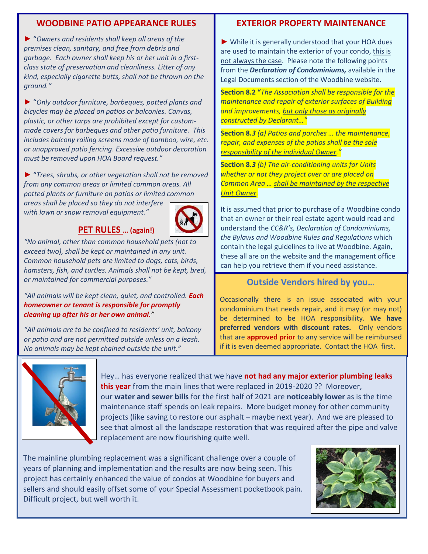#### **WOODBINE PATIO APPEARANCE RULES**

► "*Owners and residents shall keep all areas of the premises clean, sanitary, and free from debris and garbage. Each owner shall keep his or her unit in a firstclass state of preservation and cleanliness. Litter of any kind, especially cigarette butts, shall not be thrown on the ground."*

► "*Only outdoor furniture, barbeques, potted plants and bicycles may be placed on patios or balconies. Canvas, plastic, or other tarps are prohibited except for custommade covers for barbeques and other patio furniture. This includes balcony railing screens made of bamboo, wire, etc. or unapproved patio fencing*. *Excessive outdoor decoration must be removed upon HOA Board request."*

► "*Trees, shrubs, or other vegetation shall not be removed from any common areas or limited common areas. All potted plants or furniture on patios or limited common areas shall be placed so they do not interfere* 

*with lawn or snow removal equipment."*

#### **PET RULES … (again!)**



*"No animal, other than common household pets (not to exceed two), shall be kept or maintained in any unit. Common household pets are limited to dogs, cats, birds, hamsters, fish, and turtles. Animals shall not be kept, bred, or maintained for commercial purposes."*

*"All animals will be kept clean, quiet, and controlled. Each homeowner or tenant is responsible for promptly cleaning up after his or her own animal."*

*"All animals are to be confined to residents' unit, balcony or patio and are not permitted outside unless on a leash. No animals may be kept chained outside the unit."*

#### **EXTERIOR PROPERTY MAINTENANCE**

► While it is generally understood that your HOA dues are used to maintain the exterior of your condo, this is not always the case. Please note the following points from the *Declaration of Condominiums,* available in the Legal Documents section of the Woodbine website.

**Section 8.2 "***The Association shall be responsible for the maintenance and repair of exterior surfaces of Building and improvements, but only those as originally constructed by Declarant…"*

**Section 8.***3 (a) Patios and porches … the maintenance, repair, and expenses of the patios shall be the sole responsibility of the individual Owner."*

**Section 8.***3 (b) The air-conditioning units for Units whether or not they project over or are placed on Common Area … shall be maintained by the respective Unit Owner.*

It is assumed that prior to purchase of a Woodbine condo that an owner or their real estate agent would read and understand the *CC&R's, Declaration of Condominiums, the Bylaws and Woodbine Rules and Regulations* which contain the legal guidelines to live at Woodbine. Again, these all are on the website and the management office can help you retrieve them if you need assistance.

#### **Outside Vendors hired by you…**

Occasionally there is an issue associated with your condominium that needs repair, and it may (or may not) be determined to be HOA responsibility. **We have preferred vendors with discount rates.** Only vendors that are **approved prior** to any service will be reimbursed if it is even deemed appropriate. Contact the HOA first.



Hey… has everyone realized that we have **not had any major exterior plumbing leaks this year** from the main lines that were replaced in 2019-2020 ?? Moreover, our **water and sewer bills** for the first half of 2021 are **noticeably lower** as is the time maintenance staff spends on leak repairs. More budget money for other community projects (like saving to restore our asphalt – maybe next year). And we are pleased to see that almost all the landscape restoration that was required after the pipe and valve replacement are now flourishing quite well.

The mainline plumbing replacement was a significant challenge over a couple of years of planning and implementation and the results are now being seen. This project has certainly enhanced the value of condos at Woodbine for buyers and sellers and should easily offset some of your Special Assessment pocketbook pain. Difficult project, but well worth it.